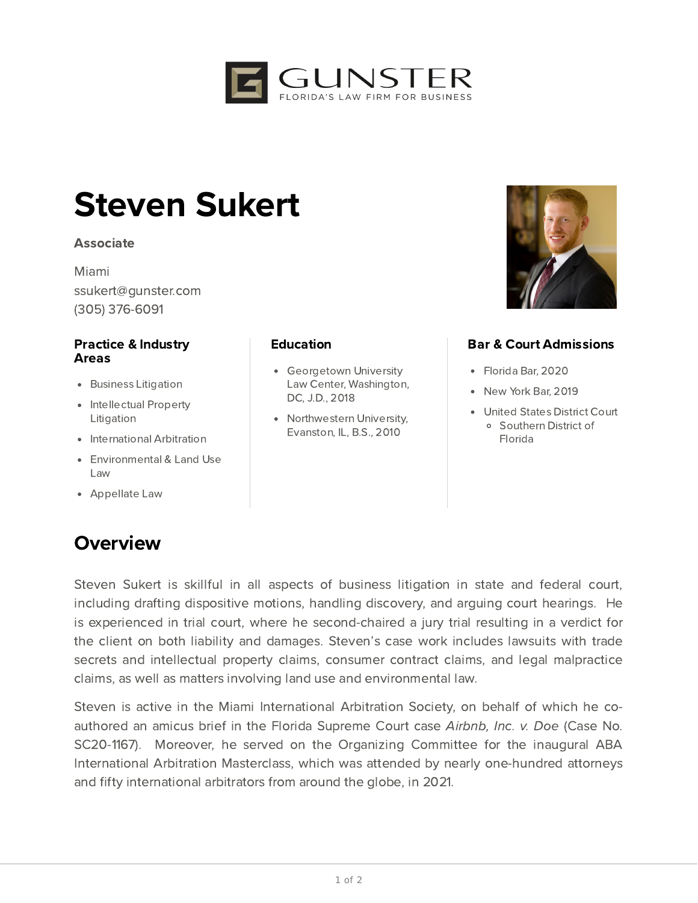

# Steven Sukert

#### Associate

Miami ssukert@gunster.com (305) 376-6091

#### Practice & Industry Areas

- **•** Business Litigation
- Intellectual Property Litigation
- International Arbitration
- Environmental & Land Use Law
- Appellate Law

### **Overview**

#### **Education**

- Georgetown University Law Center, Washington, DC, J.D., 2018
- Northwestern University, Evanston, IL, B.S., 2010



### Bar & Court Admissions

- Florida Bar, 2020
- New York Bar, 2019
- United States District Court Southern District of Florida

Steven Sukert is skillful in all aspects of business litigation in state and federal court, including drafting dispositive motions, handling discovery, and arguing court hearings. He is experienced in trial court, where he second-chaired a jury trial resulting in a verdict for the client on both liability and damages. Steven's case work includes lawsuits with trade secrets and intellectual property claims, consumer contract claims, and legal malpractice claims, as well as matters involving land use and environmental law.

Steven is active in the Miami International Arbitration Society, on behalf of which he coauthored an amicus brief in the Florida Supreme Court case Airbnb, Inc. v. Doe (Case No. SC20-1167). Moreover, he served on the Organizing Committee for the inaugural ABA International Arbitration Masterclass, which was attended by nearly one-hundred attorneys and fifty international arbitrators from around the globe, in 2021.